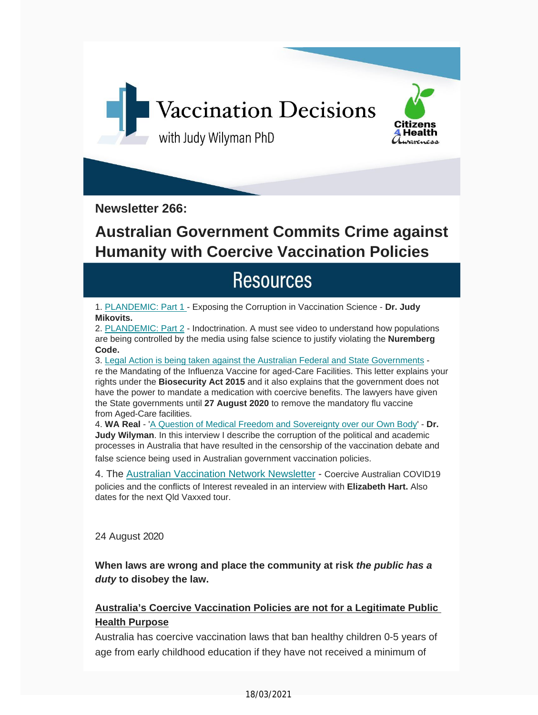

**Newsletter 266:**

## **Australian Government Commits Crime against Humanity with Coercive Vaccination Policies**

## **Resources**

1. [PLANDEMIC:](https://vaccinationdecisions.us8.list-manage.com/track/click?u=f20605fde3732e41929f4a3f2&id=c3d35d7617&e=6b3f8c9022) Part 1 - Exposing the Corruption in Vaccination Science - **Dr. Judy Mikovits.**

2. [PLANDEMIC:](https://vaccinationdecisions.us8.list-manage.com/track/click?u=f20605fde3732e41929f4a3f2&id=f9a2c78f1e&e=6b3f8c9022) Part 2 - Indoctrination. A must see video to understand how populations are being controlled by the media using false science to justify violating the **Nuremberg Code.**

3. Legal Action is being taken against the Australian Federal and State [Governments](https://vaccinationdecisions.us8.list-manage.com/track/click?u=f20605fde3732e41929f4a3f2&id=1ec18f5205&e=6b3f8c9022) re the Mandating of the Influenza Vaccine for aged-Care Facilities. This letter explains your rights under the **Biosecurity Act 2015** and it also explains that the government does not have the power to mandate a medication with coercive benefits. The lawyers have given the State governments until **27 August 2020** to remove the mandatory flu vaccine from Aged-Care facilities.

4. **WA Real** - 'A Question of Medical Freedom and [Sovereignty](https://vaccinationdecisions.us8.list-manage.com/track/click?u=f20605fde3732e41929f4a3f2&id=63eae0bc73&e=6b3f8c9022) over our Own Body' - **Dr. Judy Wilyman**. In this interview I describe the corruption of the political and academic processes in Australia that have resulted in the censorship of the vaccination debate and false science being used in Australian government vaccination policies.

4. The Australian Vaccination Network Newsletter - Coercive Australian COVID19 policies and the conflicts of Interest revealed in an [interview](https://vaccinationdecisions.us8.list-manage.com/track/click?u=f20605fde3732e41929f4a3f2&id=d906f2da6e&e=6b3f8c9022) with **Elizabeth Hart.** Also dates for the next Qld Vaxxed tour.

24 August 2020

**When laws are wrong and place the community at risk** *the public has a duty* **to disobey the law.**

### **Australia's Coercive Vaccination Policies are not for a Legitimate Public Health Purpose**

Australia has coercive vaccination laws that ban healthy children 0-5 years of age from early childhood education if they have not received a minimum of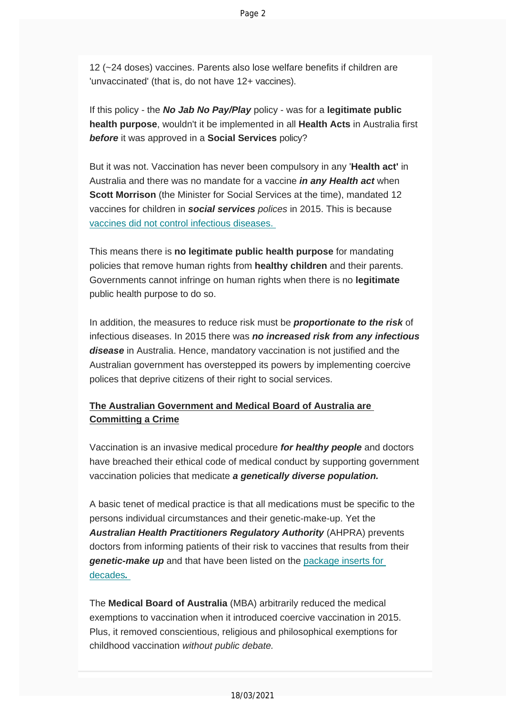12 (~24 doses) vaccines. Parents also lose welfare benefits if children are 'unvaccinated' (that is, do not have 12+ vaccines).

If this policy - the *No Jab No Pay/Play* policy - was for a **legitimate public health purpose**, wouldn't it be implemented in all **Health Acts** in Australia first *before* it was approved in a **Social Services** policy?

But it was not. Vaccination has never been compulsory in any '**Health act'** in Australia and there was no mandate for a vaccine *in any Health act* when **Scott Morrison** (the Minister for Social Services at the time), mandated 12 [vaccines for children in](https://vaccinationdecisions.us8.list-manage.com/track/click?u=f20605fde3732e41929f4a3f2&id=4f38e85961&e=6b3f8c9022) *social services polices* in 2015. This is because vaccines did not control infectious diseases.

This means there is **no legitimate public health purpose** for mandating policies that remove human rights from **healthy children** and their parents. Governments cannot infringe on human rights when there is no **legitimate**  public health purpose to do so.

In addition, the measures to reduce risk must be *proportionate to the risk* of infectious diseases. In 2015 there was *no increased risk from any infectious disease* in Australia. Hence, mandatory vaccination is not justified and the Australian government has overstepped its powers by implementing coercive polices that deprive citizens of their right to social services.

#### **The Australian Government and Medical Board of Australia are Committing a Crime**

Vaccination is an invasive medical procedure *for healthy people* and doctors have breached their ethical code of medical conduct by supporting government vaccination policies that medicate *a genetically diverse population.* 

A basic tenet of medical practice is that all medications must be specific to the persons individual circumstances and their genetic-make-up. Yet the *Australian Health Practitioners Regulatory Authority* (AHPRA) prevents doctors from informing patients of their risk to vaccines that results from their *genetic-make up* and that have been listed on the package inserts for decades*.*

The **Medical Board of Australia** (MBA) arbitrarily reduced the medical exemptions to vaccination when it introduced coercive vaccination in 2015. Plus, it removed conscientious, religious and philosophical exemptions for childhood vaccination *without public debate.*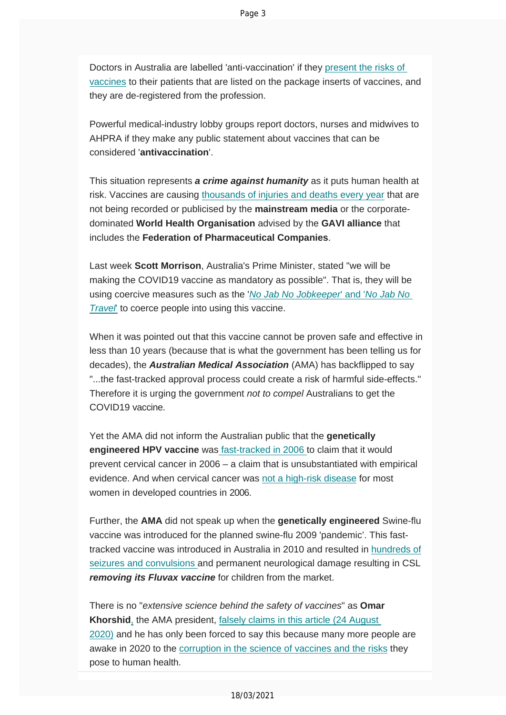[Doctors in](https://vaccinationdecisions.us8.list-manage.com/track/click?u=f20605fde3732e41929f4a3f2&id=7967cd01cb&e=6b3f8c9022) Australia are labelled 'anti-vaccination' if they present the risks of vaccines to their patients that are listed on the package inserts of vaccines, and they are de-registered from the profession.

Powerful medical-industry lobby groups report doctors, nurses and midwives to AHPRA if they make any public statement about vaccines that can be considered '**antivaccination**'.

This situation represents *a crime against humanity* [as it puts human health a](https://vaccinationdecisions.us8.list-manage.com/track/click?u=f20605fde3732e41929f4a3f2&id=11d5bb82dd&e=6b3f8c9022)t risk. Vaccines are causing thousands of injuries and deaths every year that are not being recorded or publicised by the **mainstream media** or the corporatedominated **World Health Organisation** advised by the **GAVI alliance** that includes the **Federation of Pharmaceutical Companies**.

Last week **Scott Morrison**, Australia's Prime Minister, stated "we will be making the COVID19 vaccine as mandato[ry as possible". That is, they will be](https://vaccinationdecisions.us8.list-manage.com/track/click?u=f20605fde3732e41929f4a3f2&id=092ba613e0&e=6b3f8c9022)  using coercive measures such as the '*No Jab No Jobkeeper*' and '*No Jab No [Travel](https://vaccinationdecisions.us8.list-manage.com/track/click?u=f20605fde3732e41929f4a3f2&id=092ba613e0&e=6b3f8c9022)*' to coerce people into using this vaccine.

When it was pointed out that this vaccine cannot be proven safe and effective in less than 10 years (because that is what the government has been telling us for decades), the *Australian Medical Association* (AMA) has backflipped to say "...the fast-tracked approval process could create a risk of harmful side-effects." Therefore it is urging the government *not to compel* Australians to get the COVID19 vaccine.

Yet the AMA did not inform the Australian public that the **genetically engineered HPV vaccine** was fa[st-tracked in 2006 to cla](https://vaccinationdecisions.us8.list-manage.com/track/click?u=f20605fde3732e41929f4a3f2&id=f81e0839f4&e=6b3f8c9022)im that it would prevent cervical cancer in 2006 – a claim that is unsubstantiated with empirical evidence. And when cervical cancer was not [a high-risk disease](https://vaccinationdecisions.us8.list-manage.com/track/click?u=f20605fde3732e41929f4a3f2&id=73f24225d6&e=6b3f8c9022) for most women in developed countries in 2006.

Further, the **AMA** did not speak up when the **genetically engineered** Swine-flu vaccine was introduced for the planned swine-flu 2009 'pandemic'. This fasttracked vaccine was introduced in Australia in 2010 and resulted in hundreds of seizures and convulsions and permanent neurological damage resulting i[n CSL](https://vaccinationdecisions.us8.list-manage.com/track/click?u=f20605fde3732e41929f4a3f2&id=3bbef60e8d&e=6b3f8c9022) *r[emoving its Fluvax vaccine](https://vaccinationdecisions.us8.list-manage.com/track/click?u=f20605fde3732e41929f4a3f2&id=3bbef60e8d&e=6b3f8c9022)* for children from the market.

There is no "*extensive science behind the safety of vaccines*" as **Omar Khorshid**, the AMA president, falsely claims in this article (24 August 2020) and [he](https://vaccinationdecisions.us8.list-manage.com/track/click?u=f20605fde3732e41929f4a3f2&id=a68c174a2c&e=6b3f8c9022) has only been force[d to say this because many more people a](https://vaccinationdecisions.us8.list-manage.com/track/click?u=f20605fde3732e41929f4a3f2&id=0b1f6e25a5&e=6b3f8c9022)re [awake i](https://vaccinationdecisions.us8.list-manage.com/track/click?u=f20605fde3732e41929f4a3f2&id=0b1f6e25a5&e=6b3f8c9022)n 2020 to the corruption in the science of vaccines and the risks they pose to human health.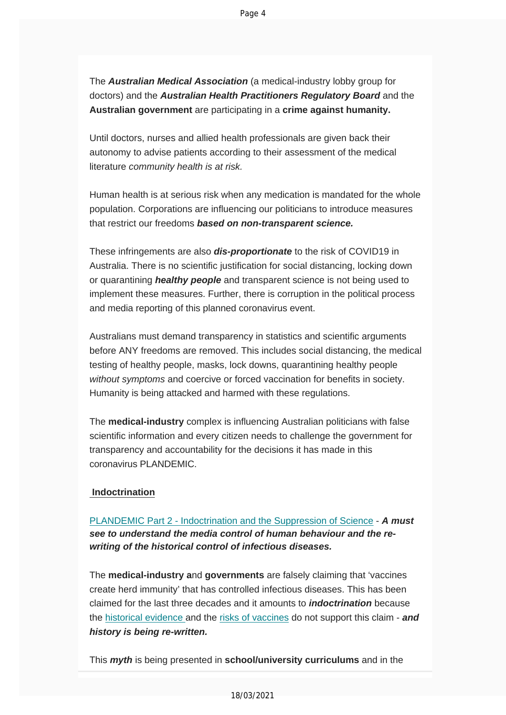The *Australian Medical Association* (a medical-industry lobby group for doctors) and the *Australian Health Practitioners Regulatory Board* and the **Australian government** are participating in a **crime against humanity.** 

Until doctors, nurses and allied health professionals are given back their autonomy to advise patients according to their assessment of the medical literature *community health is at risk.*

Human health is at serious risk when any medication is mandated for the whole population. Corporations are influencing our politicians to introduce measures that restrict our freedoms *based on non-transparent science.*

These infringements are also *dis-proportionate* to the risk of COVID19 in Australia. There is no scientific justification for social distancing, locking down or quarantining *healthy people* and transparent science is not being used to implement these measures. Further, there is corruption in the political process and media reporting of this planned coronavirus event.

Australians must demand transparency in statistics and scientific arguments before ANY freedoms are removed. This includes social distancing, the medical testing of healthy people, masks, lock downs, quarantining healthy people *without symptoms* and coercive or forced vaccination for benefits in society. Humanity is being attacked and harmed with these regulations.

The **medical-industry** complex is influencing Australian politicians with false scientific information and every citizen needs to challenge the government for transparency and accountability for the decisions it has made in this coronavirus PLANDEMIC.

#### **Indoctrination**

PLANDEMIC Part 2 - Indoctrination and the Suppression of Science - *A must [see to understand the media control of human behaviour and the re](https://vaccinationdecisions.us8.list-manage.com/track/click?u=f20605fde3732e41929f4a3f2&id=8238cbd3de&e=6b3f8c9022)writing of the historical control of infectious diseases.* 

The **medical-industry a**nd **governments** are falsely claiming that 'vaccines create herd immunity' that has controlled infectious diseases. This has been claimed for the last three decades and it amounts to *indoctrination* because the historical evidence and the risks of vaccines do not support this claim - *and hist[ory is being re-writte](https://vaccinationdecisions.us8.list-manage.com/track/click?u=f20605fde3732e41929f4a3f2&id=166f168ef9&e=6b3f8c9022)n.*

This *myth* is being presented in **school/university curriculums** and in the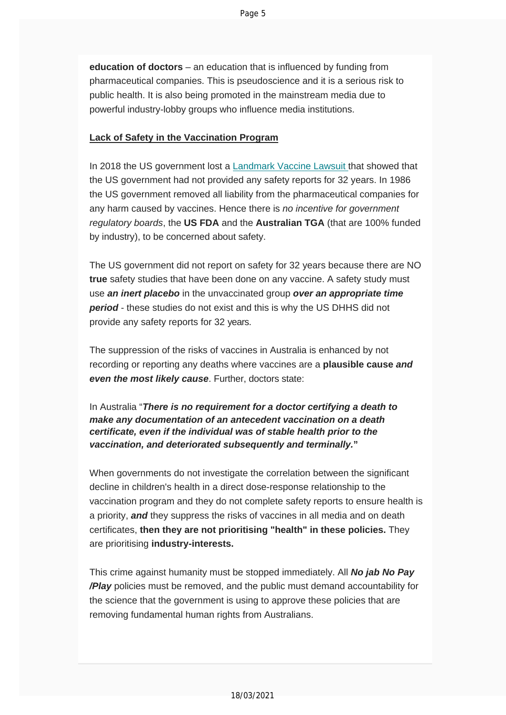**education of doctors** – an education that is influenced by funding from pharmaceutical companies. This is pseudoscience and it is a serious risk to public health. It is also being promoted in the mainstream media due to powerful industry-lobby groups who influence media institutions.

#### **Lack of Safety in the Vaccination Program**

In 2018 the US government lost a Landmark Vaccine Lawsuit that showed that the US government had not provided any safety reports for 32 years. In 1986 the US government removed all liability from the pharmaceutical companies for any harm caused by vaccines. Hence there is *no incentive for government regulatory boards*, the **US FDA** and the **Australian TGA** (that are 100% funded by industry), to be concerned about safety.

The US government did not report on safety for 32 years because there are NO **true** safety studies that have been done on any vaccine. A safety study must use *an inert placebo* in the unvaccinated group *over an appropriate time period* - these studies do not exist and this is why the US DHHS did not provide any safety reports for 32 years.

The suppression of the risks of vaccines in Australia is enhanced by not recording or reporting any deaths where vaccines are a **plausible cause** *and even the most likely cause*. Further, doctors state:

In Australia "*There is no requirement for a doctor certifying a death to make any documentation of an antecedent vaccination on a death certificate, even if the individual was of stable health prior to the vaccination, and deteriorated subsequently and terminally.***"**

When governments do not investigate the correlation between the significant decline in children's health in a direct dose-response relationship to the vaccination program and they do not complete safety reports to ensure health is a priority, *and* they suppress the risks of vaccines in all media and on death certificates, **then they are not prioritising "health" in these policies.** They are prioritising **industry-interests.**

This crime against humanity must be stopped immediately. All *No jab No Pay /Play* policies must be removed, and the public must demand accountability for the science that the government is using to approve these policies that are removing fundamental human rights from Australians.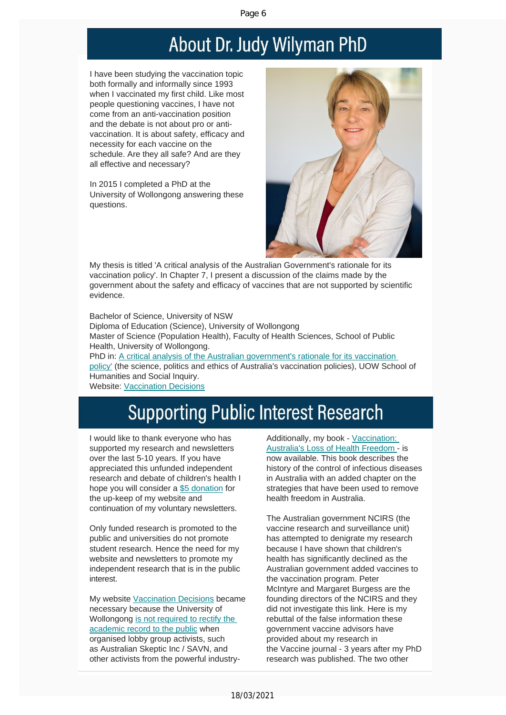# About Dr. Judy Wilyman PhD

I have been studying the vaccination topic both formally and informally since 1993 when I vaccinated my first child. Like most people questioning vaccines, I have not come from an anti-vaccination position and the debate is not about pro or antivaccination. It is about safety, efficacy and necessity for each vaccine on the schedule. Are they all safe? And are they all effective and necessary?

In 2015 I completed a PhD at the University of Wollongong answering these questions.



My thesis is titled 'A critical analysis of the Australian Government's rationale for its vaccination policy'. In Chapter 7, I present a discussion of the claims made by the government about the safety and efficacy of vaccines that are not supported by scientific evidence.

Bachelor of Science, University of NSW Diploma of Education (Science), University of Wollongong Master of Science (Population Health), Faculty of Health Sciences, School of Public Health, University of Wollongong. PhD in: A critical analysis of the Australian [government's](https://vaccinationdecisions.us8.list-manage.com/track/click?u=f20605fde3732e41929f4a3f2&id=7cbeeb364f&e=6b3f8c9022) rationale for its vaccination [policy'](https://vaccinationdecisions.us8.list-manage.com/track/click?u=f20605fde3732e41929f4a3f2&id=7cbeeb364f&e=6b3f8c9022) (the science, politics and ethics of Australia's vaccination policies), UOW School of Humanities and Social Inquiry. Website: V[accination](https://vaccinationdecisions.us8.list-manage.com/track/click?u=f20605fde3732e41929f4a3f2&id=0f9290b621&e=6b3f8c9022) Decisions

# **Supporting Public Interest Research**

I would like to thank everyone who has supported my research and newsletters over the last 5-10 years. If you have appreciated this unfunded independent research and debate of children's health I hope you will consider a \$5 donation for the up-keep of my website [and](https://vaccinationdecisions.us8.list-manage.com/track/click?u=f20605fde3732e41929f4a3f2&id=ddf03f4eda&e=6b3f8c9022) continuation of my voluntary newsletters.

Only funded research is promoted to the public and universities do not promote student research. Hence the need for my website and newsletters to promote my independent research that is in the public interest.

My website Vaccination Decisions became necessary because the University of Wollongong is not [required](https://vaccinationdecisions.us8.list-manage.com/track/click?u=f20605fde3732e41929f4a3f2&id=e0c0b756f5&e=6b3f8c9022) to rectify the academic record to the public when organised lobby group [activists,](https://vaccinationdecisions.us8.list-manage.com/track/click?u=f20605fde3732e41929f4a3f2&id=55587b9edf&e=6b3f8c9022) such as [Australian](https://vaccinationdecisions.us8.list-manage.com/track/click?u=f20605fde3732e41929f4a3f2&id=55587b9edf&e=6b3f8c9022) Skeptic Inc / SAVN, and other activists from the powerful industryAdditionally, my book - Vaccination: Australia's Loss of Health Fre[edom](https://vaccinationdecisions.us8.list-manage.com/track/click?u=f20605fde3732e41929f4a3f2&id=4ca8ad1848&e=6b3f8c9022) - is now available. This book [describes](https://vaccinationdecisions.us8.list-manage.com/track/click?u=f20605fde3732e41929f4a3f2&id=4ca8ad1848&e=6b3f8c9022) the history of the control of infectious diseases in Australia with an added chapter on the strategies that have been used to remove health freedom in Australia.

The Australian government NCIRS (the vaccine research and surveillance unit) has attempted to denigrate my research because I have shown that children's health has significantly declined as the Australian government added vaccines to the vaccination program. Peter McIntyre and Margaret Burgess are the founding directors of the NCIRS and they did not investigate this link. Here is my rebuttal of the false information these government vaccine advisors have provided about my research in the Vaccine journal - 3 years after my PhD research was published. The two other